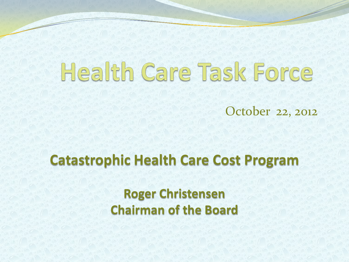# Health Care Task Force

October 22, 2012

#### **Catastrophic Health Care Cost Program**

**Roger Christensen Chairman of the Board**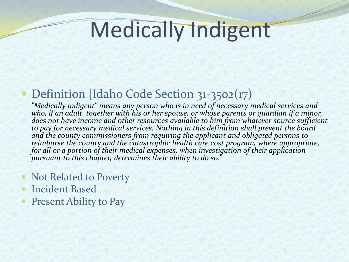### Medically Indigent

#### Definition *[Idaho Code Section 31-3502(17)*

*"Medically indigent" means any person who is in need of necessary medical services and who, if an adult, together with his or her spouse, or whose parents or guardian if a minor,*  does not have income and other resources available to him from whatever source sufficient *to pay for necessary medical services. Nothing in this definition shall prevent the board and the county commissioners from requiring the applicant and obligated persons to reimburse the county and the catastrophic health care cost program, where appropriate, for all or a portion of their medical expenses, when investigation of their application pursuant to this chapter, determines their ability to do so."*

- Not Related to Poverty
- Incident Based
- Present Ability to Pay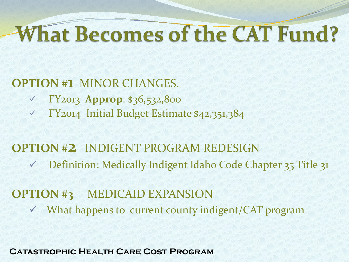### **What Becomes of the CAT Fund?**

#### **OPTION #1** MINOR CHANGES.

- FY2013 **Approp**. \$36,532,800
- FY2014 Initial Budget Estimate \$42,351,384

#### **OPTION #2** INDIGENT PROGRAM REDESIGN Definition: Medically Indigent Idaho Code Chapter 35 Title 31

#### **OPTION #3** MEDICAID EXPANSION What happens to current county indigent/CAT program

**Catastrophic Health Care Cost Program**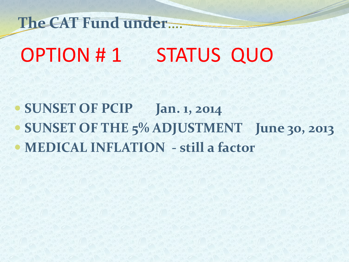OPTION #1 STATUS QUO **The CAT Fund under**….

 **SUNSET OF PCIP Jan. 1, 2014 SUNSET OF THE 5% ADJUSTMENT June 30, 2013 MEDICAL INFLATION - still a factor**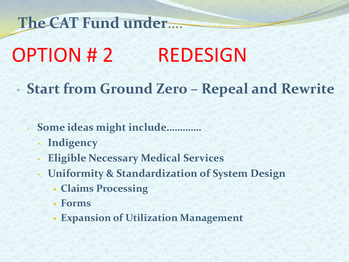**The CAT Fund under**….

### OPTION # 2 REDESIGN

- **Start from Ground Zero – Repeal and Rewrite**
	- **Some ideas might include………….**
		- **Indigency**
		- **Eligible Necessary Medical Services**
		- **Uniformity & Standardization of System Design**
			- **Claims Processing**
			- **Forms**
			- **Expansion of Utilization Management**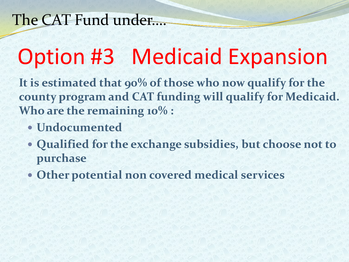### Option #3 Medicaid Expansion

**It is estimated that 90% of those who now qualify for the county program and CAT funding will qualify for Medicaid. Who are the remaining 10% :**

- **Undocumented**
- **Qualified for the exchange subsidies, but choose not to purchase**
- **Other potential non covered medical services**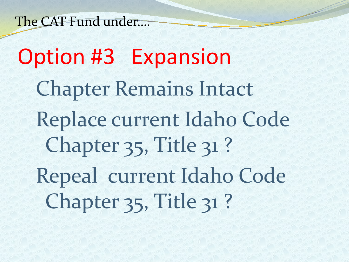The CAT Fund under….

Option #3 Expansion Chapter Remains Intact Replace current Idaho Code Chapter 35, Title 31? Repeal current Idaho Code Chapter 35, Title 31?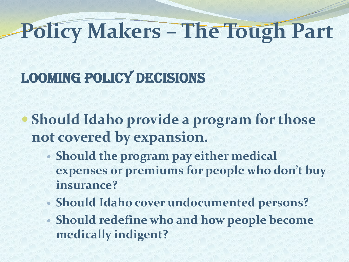## **Policy Makers – The Tough Part**

#### Looming Policy DecisionS

- **Should Idaho provide a program for those not covered by expansion.**
	- **Should the program pay either medical expenses or premiums for people who don't buy insurance?**
	- **Should Idaho cover undocumented persons?**
	- **Should redefine who and how people become medically indigent?**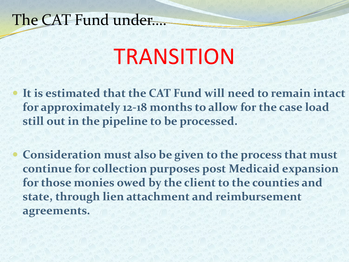#### The CAT Fund under….

### **TRANSITION**

 **It is estimated that the CAT Fund will need to remain intact for approximately 12-18 months to allow for the case load still out in the pipeline to be processed.** 

 **Consideration must also be given to the process that must continue for collection purposes post Medicaid expansion for those monies owed by the client to the counties and state, through lien attachment and reimbursement agreements.**